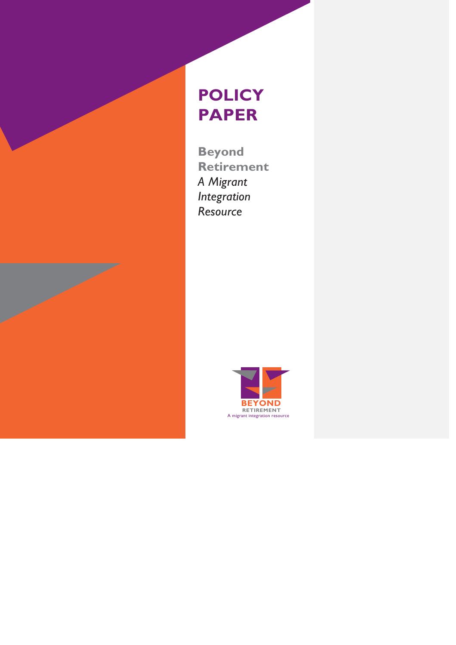# **POLICY PAPER**

**Beyond Retirement**  *A Migrant Integration Resource*

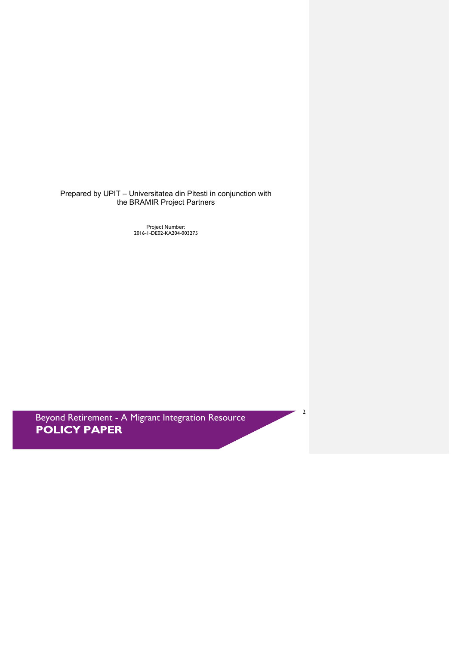Prepared by UPIT – Universitatea din Pitesti in conjunction with the BRAMIR Project Partners

Project Number: 2016-1-DE02-KA204-003275

Beyond Retirement - A Migrant Integration Resource<br> **POLICY PAPER** 

2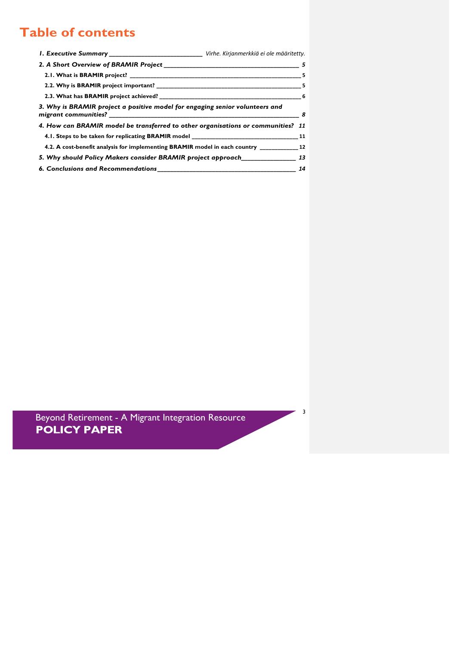# **Table of contents**

| I. Executive Summary _____________________________ Virhe. Kirjanmerkkiä ei ole määritetty.                                                                                                                                                 |     |
|--------------------------------------------------------------------------------------------------------------------------------------------------------------------------------------------------------------------------------------------|-----|
| 2. A Short Overview of BRAMIR Project 5 and 2.1 and 2.1 and 2.1 and 2.1 and 2.1 and 2.1 and 2.1 and 2.1 and 2.                                                                                                                             |     |
|                                                                                                                                                                                                                                            |     |
|                                                                                                                                                                                                                                            |     |
|                                                                                                                                                                                                                                            |     |
| 3. Why is BRAMIR project a positive model for engaging senior volunteers and                                                                                                                                                               | - 8 |
| 4. How can BRAMIR model be transferred to other organisations or communities? 11                                                                                                                                                           |     |
|                                                                                                                                                                                                                                            |     |
| 4.2. A cost-benefit analysis for implementing BRAMIR model in each country 12                                                                                                                                                              |     |
| 5. Why should Policy Makers consider BRAMIR project approach ____________________ 13                                                                                                                                                       |     |
| <b>6. Conclusions and Recommendations contains the contract of the contract of the contract of the contract of the contract of the contract of the contract of the contract of the contract of the contract of the contract of t</b><br>14 |     |

Beyond Retirement - A Migrant Integration Resource<br> **POLICY PAPER** 

 $-3$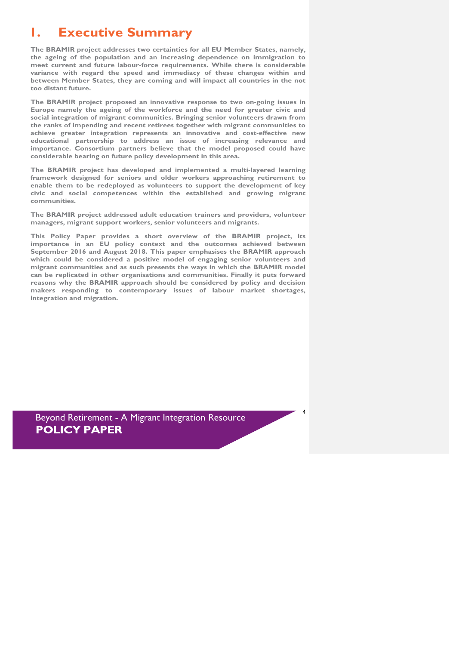### **1. Executive Summary**

**The BRAMIR project addresses two certainties for all EU Member States, namely, the ageing of the population and an increasing dependence on immigration to meet current and future labour-force requirements. While there is considerable variance with regard the speed and immediacy of these changes within and between Member States, they are coming and will impact all countries in the not too distant future.**

**The BRAMIR project proposed an innovative response to two on-going issues in Europe namely the ageing of the workforce and the need for greater civic and social integration of migrant communities. Bringing senior volunteers drawn from the ranks of impending and recent retirees together with migrant communities to achieve greater integration represents an innovative and cost-effective new educational partnership to address an issue of increasing relevance and importance. Consortium partners believe that the model proposed could have considerable bearing on future policy development in this area.**

**The BRAMIR project has developed and implemented a multi-layered learning framework designed for seniors and older workers approaching retirement to enable them to be redeployed as volunteers to support the development of key civic and social competences within the established and growing migrant communities.**

**The BRAMIR project addressed adult education trainers and providers, volunteer managers, migrant support workers, senior volunteers and migrants.**

**This Policy Paper provides a short overview of the BRAMIR project, its importance in an EU policy context and the outcomes achieved between September 2016 and August 2018. This paper emphasises the BRAMIR approach which could be considered a positive model of engaging senior volunteers and migrant communities and as such presents the ways in which the BRAMIR model can be replicated in other organisations and communities. Finally it puts forward reasons why the BRAMIR approach should be considered by policy and decision makers responding to contemporary issues of labour market shortages, integration and migration.** 

4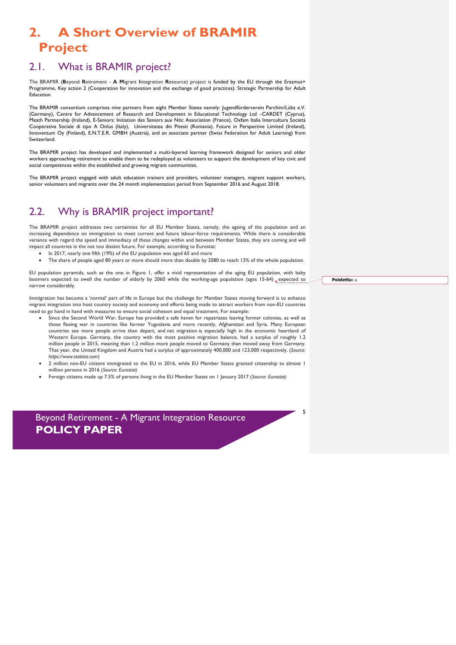# **2. A Short Overview of BRAMIR Project**

### 2.1. What is BRAMIR project?

The BRAMIR (**B**eyond **R**etirement - **A M**igrant **I**ntegration **R**esource) project is funded by the EU through the Erasmus+ Programme, Key action 2 (Cooperation for innovation and the exchange of good practices): Strategic Partnership for Adult **Education** 

The BRAMIR consortium comprises nine partners from eight Member States namely: Jugendförderverein Parchim/Lübz e.V. (Germany), Centre for Advancement of Research and Development in Educational Technology Ltd –CARDET (Cyprus), Meath Partnership (Ireland), E-Seniors: Initiation des Seniors aux Ntic Association (France), Oxfam Italia Intercultura Società Cooperativa Sociale di tipo A Onlus (Italy), Universitatea din Pitesti (Romania), Future in Perspective Limited (Ireland), Innoventum Oy (Finland), E.N.T.E.R. GMBH (Austria), and an associate partner (Swiss Federation for Adult Learning) from Switzerland.

The BRAMIR project has developed and implemented a multi-layered learning framework designed for seniors and older workers approaching retirement to enable them to be redeployed as volunteers to support the development of key civic and social competences within the established and growing migrant communities.

The BRAMIR project engaged with adult education trainers and providers, volunteer managers, migrant support workers, senior volunteers and migrants over the 24 month implementation period from September 2016 and August 2018.

#### 2.2. Why is BRAMIR project important?

The BRAMIR project addresses two certainties for all EU Member States, namely, the ageing of the population and an increasing dependence on immigration to meet current and future labour-force requirements. While there is considerable variance with regard the speed and immediacy of these changes within and between Member States, they are coming and will impact all countries in the not too distant future. For example, according to Eurostat:

- In 2017, nearly one fifth (19%) of the EU population was aged 65 and more
- The share of people aged 80 years or more should more than double by 2080 to reach 13% of the whole population.

EU population pyramids, such as the one in Figure 1, offer a vivid representation of the aging EU population, with baby boomers expected to swell the number of elderly by 2060 while the working-age population (ages 15-64) expected to narrow considerably.

Immigration has become a 'normal' part of life in Europe but the challenge for Member States moving forward is to enhance migrant integration into host country society and economy and efforts being made to attract workers from non-EU countries need to go hand in hand with measures to ensure social cohesion and equal treatment. For example:

- Since the Second World War, Europe has provided a safe haven for repatriates leaving former colonies, as well as those fleeing war in countries like former Yugoslavia and more recently, Afghanistan and Syria. Many European countries see more people arrive than depart, and net migration is especially high in the economic heartland of Western Europe. Germany, the country with the most positive migration balance, had a surplus of roughly 1.2 million people in 2015, meaning than 1.2 million more people moved to Germany than moved away from Germany. That year, the United Kingdom and Austria had a surplus of approximately 400,000 and 123,000 respectively. (*Source: https://www.statista.com*)
- 2 million non-EU citizens immigrated to the EU in 2016, while EU Member States granted citizenship to almost 1 million persons in 2016 (*Source: Eurostat)*
- Foreign citizens made up 7.5% of persons living in the EU Member States on 1 January 2017 (*Source: Eurostat)*

Beyond Retirement - A Migrant Integration Resource **POLICY PAPER** 

**Poistettu:** is

5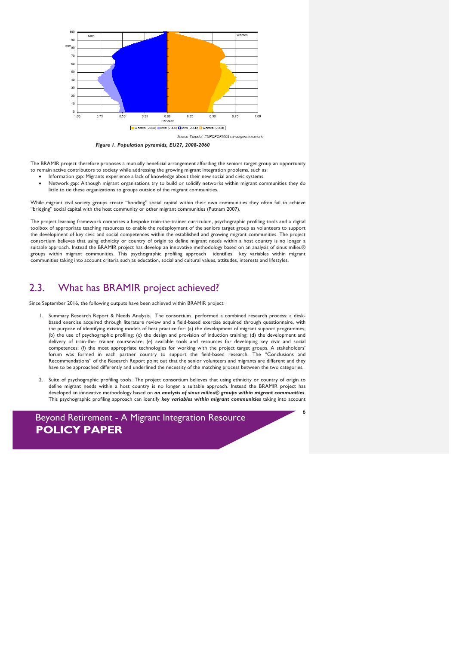

*Figure 1. Population pyramids, EU27, 2008-2060*

The BRAMIR project therefore proposes a mutually beneficial arrangement affording the seniors target group an opportunity to remain active contributors to society while addressing the growing migrant integration problems, such as:

- Information gap: Migrants experience a lack of knowledge about their new social and civic systems.
- Network gap: Although migrant organisations try to build or solidify networks within migrant communities they do little to tie these organizations to groups outside of the migrant communities.

While migrant civil society groups create "bonding" social capital within their own communities they often fail to achieve "bridging" social capital with the host community or other migrant communities (Putnam 2007).

The project learning framework comprises a bespoke train-the-trainer curriculum, psychographic profiling tools and a digital toolbox of appropriate teaching resources to enable the redeployment of the seniors target group as volunteers to support the development of key civic and social competences within the established and growing migrant communities. The project consortium believes that using ethnicity or country of origin to define migrant needs within a host country is no longer a suitable approach. Instead the BRAMIR project has develop an innovative methodology based on an analysis of sinus milieu® groups within migrant communities. This psychographic profiling approach identifies key variables within migrant communities taking into account criteria such as education, social and cultural values, attitudes, interests and lifestyles.

#### 2.3. What has BRAMIR project achieved?

Since September 2016, the following outputs have been achieved within BRAMIR project:

- 1. Summary Research Report & Needs Analysis. The consortium performed a combined research process: a deskbased exercise acquired through literature review and a field-based exercise acquired through questionnaire, with the purpose of identifying existing models of best practice for: (a) the development of migrant support programmes; (b) the use of psychographic profiling; (c) the design and provision of induction training; (d) the development and delivery of train-the- trainer courseware; (e) available tools and resources for developing key civic and social competences; (f) the most appropriate technologies for working with the project target groups. A stakeholders' forum was formed in each partner country to support the field-based research. The "Conclusions and Recommendations" of the Research Report point out that the senior volunteers and migrants are different and they have to be approached differently and underlined the necessity of the matching process between the two categories.
- 2. Suite of psychographic profiling tools. The project consortium believes that using ethnicity or country of origin to define migrant needs within a host country is no longer a suitable approach. Instead the BRAMIR project has developed an innovative methodology based on *an analysis of sinus milieu® groups within migrant communities*. This psychographic profiling approach can identify *key variables within migrant communities* taking into account

6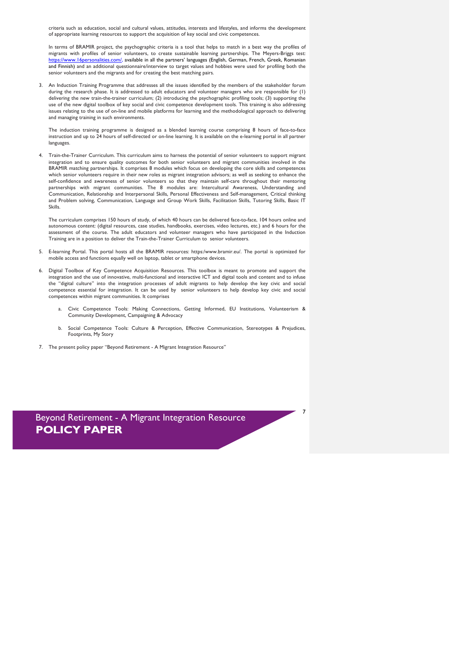criteria such as education, social and cultural values, attitudes, interests and lifestyles, and informs the development of appropriate learning resources to support the acquisition of key social and civic competences.

In terms of BRAMIR project, the psychographic criteria is a tool that helps to match in a best way the profiles of migrants with profiles of senior volunteers, to create sustainable learning partnerships. The Meyers-Briggs test: https://www.16personalities.com/, available in all the partners' languages (English, German, French, Greek, Romanian and Finnish) and an additional questionnaire/interview to target values and hobbies were used for profiling both the senior volunteers and the migrants and for creating the best matching pairs.

3. An Induction Training Programme that addresses all the issues identified by the members of the stakeholder forum during the research phase. It is addressed to adult educators and volunteer managers who are responsible for (1) delivering the new train-the-trainer curriculum; (2) introducing the psychographic profiling tools; (3) supporting the use of the new digital toolbox of key social and civic competence development tools. This training is also addressing issues relating to the use of on-line and mobile platforms for learning and the methodological approach to delivering and managing training in such environments.

The induction training programme is designed as a blended learning course comprising 8 hours of face-to-face instruction and up to 24 hours of self-directed or on-line learning. It is available on the e-learning portal in all partner languages.

4. Train-the-Trainer Curriculum. This curriculum aims to harness the potential of senior volunteers to support migrant integration and to ensure quality outcomes for both senior volunteers and migrant communities involved in the BRAMIR matching partnerships. It comprises 8 modules which focus on developing the core skills and competences which senior volunteers require in their new roles as migrant integration advisors; as well as seeking to enhance the self-confidence and awareness of senior volunteers so that they maintain self-care throughout their mentoring partnerships with migrant communities. The 8 modules are: Intercultural Awareness, Understanding and Communication, Relationship and Interpersonal Skills, Personal Effectiveness and Self-management, Critical thinking and Problem solving, Communication, Language and Group Work Skills, Facilitation Skills, Tutoring Skills, Basic IT Skills.

The curriculum comprises 150 hours of study, of which 40 hours can be delivered face-to-face, 104 hours online and autonomous content: (digital resources, case studies, handbooks, exercises, video lectures, etc.) and 6 hours for the assessment of the course. The adult educators and volunteer managers who have participated in the Induction Training are in a position to deliver the Train-the-Trainer Curriculum to senior volunteers.

- 5. E-learning Portal. This portal hosts all the BRAMIR resources: https:/www.bramir.eu/. The portal is optimized for mobile access and functions equally well on laptop, tablet or smartphone devices.
- 6. Digital Toolbox of Key Competence Acquisition Resources. This toolbox is meant to promote and support the integration and the use of innovative, multi-functional and interactive ICT and digital tools and content and to infuse the "digital culture" into the integration processes of adult migrants to help develop the key civic and social competence essential for integration. It can be used by senior volunteers to help develop key civic and social competences within migrant communities. It comprises
	- Civic Competence Tools: Making Connections, Getting Informed, EU Institutions, Volunteerism & Community Development, Campaigning & Advocacy
	- b. Social Competence Tools: Culture & Perception, Effective Communication, Stereotypes & Prejudices, Footprints, My Story

7

7. The present policy paper "Beyond Retirement - A Migrant Integration Resource"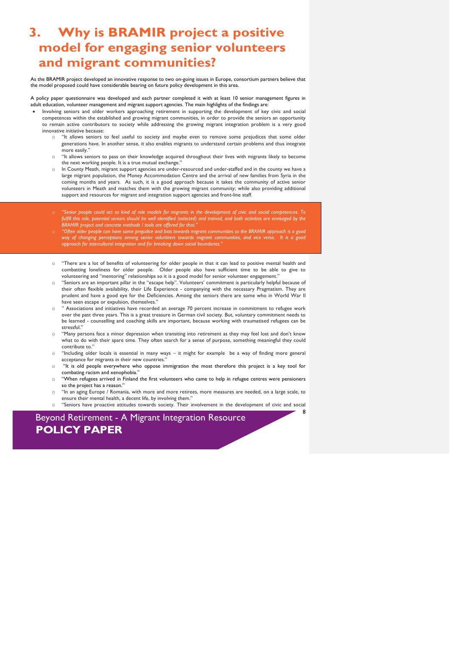### **3. Why is BRAMIR project a positive model for engaging senior volunteers and migrant communities?**

As the BRAMIR project developed an innovative response to two on-going issues in Europe, consortium partners believe that the model proposed could have considerable bearing on future policy development in this area.

A policy paper questionnaire was developed and each partner completed it with at least 10 senior management figures in adult education, volunteer management and migrant support agencies. The main highlights of the findings are:

- Involving seniors and older workers approaching retirement in supporting the development of key civic and social competences within the established and growing migrant communities, in order to provide the seniors an opportunity to remain active contributors to society while addressing the growing migrant integration problem is a very good innovative initiative because:
	- "It allows seniors to feel useful to society and maybe even to remove some prejudices that some older generations have. In another sense, it also enables migrants to understand certain problems and thus integrate more easily."
	- "It allows seniors to pass on their knowledge acquired throughout their lives with migrants likely to become the next working people. It is a true mutual exchange.
	- In County Meath, migrant support agencies are under-resourced and under-staffed and in the county we have a large migrant population, the Money Accommodation Centre and the arrival of new families from Syria in the coming months and years. As such, it is a good approach because it takes the community of active senior volunteers in Meath and matches them with the growing migrant community; while also providing additional support and resources for migrant and integration support agencies and front-line staff.
	- "Senior people could act as kind of role models for migrants in the development of civic and social competences. To *fulfill this role, potential seniors should be well identified (selected) and trained, and both activities are envisaged by the*  **BRAMIR** project and concrete methods / tools are offered for that.
	- "Often older people can have some prejudice and bias towards migrant communities so the BRAMIR approach is a good *way of changing perceptions among senior volunteers towards migrant communities, and vice versa. It is a good approach for intercultural integration and for breaking down social boundaries."*
	- "There are a lot of benefits of volunteering for older people in that it can lead to positive mental health and combatting loneliness for older people. Older people also have sufficient time to be able to give to volunteering and "mentoring" relationships so it is a good model for senior volunteer engagement.'
	- o "Seniors are an important pillar in the "escape help". Volunteers' commitment is particularly helpful because of their often flexible availability, their Life Experience - companying with the necessary Pragmatism. They are prudent and have a good eye for the Deficiencies. Among the seniors there are some who in World War II have seen escape or expulsion, themselves."
	- " Associations and initiatives have recorded an average 70 percent increase in commitment to refugee work over the past three years. This is a great treasure in German civil society. But, voluntary commitment needs to be learned - counselling and coaching skills are important, because working with traumatised refugees can be stressful "
	- "Many persons face a minor depression when transiting into retirement as they may feel lost and don't know what to do with their spare time. They often search for a sense of purpose, something meaningful they could contribute to."
	- o "Including older locals is essential in many ways it might for example be a way of finding more general acceptance for migrants in their new countries."
	- o "It is old people everywhere who oppose immigration the most therefore this project is a key tool for combating racism and xenophobia."
	- o "When refugees arrived in Finland the first volunteers who came to help in refugee centres were pensioners so the project has a reason."
	- o "In an aging Europe / Romania, with more and more retirees, more measures are needed, on a large scale, to ensure their mental health, a decent life, by involving them."
	- o "Seniors have proactive attitudes towards society. Their involvement in the development of civic and social

8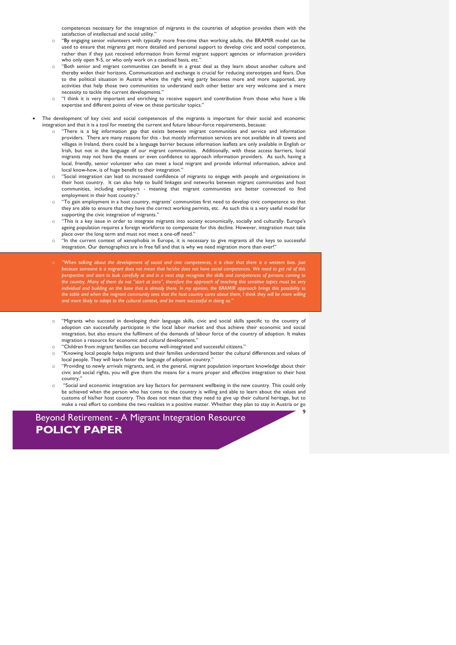competences necessary for the integration of migrants in the countries of adoption provides them with the satisfaction of intellectual and social utility.'

- "By engaging senior volunteers with typically more free-time than working adults, the BRAMIR model can be used to ensure that migrants get more detailed and personal support to develop civic and social competence, rather than if they just received information from formal migrant support agencies or information providers who only open 9-5, or who only work on a caseload basis, etc.'
- "Both senior and migrant communities can benefit in a great deal as they learn about another culture and thereby widen their horizons. Communication and exchange is crucial for reducing stereotypes and fears. Due to the political situation in Austria where the right wing party becomes more and more supported, any activities that help those two communities to understand each other better are very welcome and a mere necessity to tackle the current developments."
- "I think it is very important and enriching to receive support and contribution from those who have a life expertise and different points of view on these particular topics."

The development of key civic and social competences of the migrants is important for their social and economic integration and that it is a tool for meeting the current and future labour-force requirements, because:

- "There is a big information gap that exists between migrant communities and service and information providers. There are many reasons for this - but mostly information services are not available in all towns and villages in Ireland, there could be a language barrier because information leaflets are only available in English or Irish, but not in the language of our migrant communities. Additionally, with these access barriers, local migrants may not have the means or even confidence to approach information providers. As such, having a local, friendly, senior volunteer who can meet a local migrant and provide informal information, advice and local know-how, is of huge benefit to their integration."
- o "Social integration can lead to increased confidence of migrants to engage with people and organisations in their host country. It can also help to build linkages and networks between migrant communities and host communities, including employers - meaning that migrant communities are better connected to find employment in their host country."
- "To gain employment in a host country, migrants' communities first need to develop civic competence so that they are able to ensure that they have the correct working permits, etc. As such this is a very useful model for supporting the civic integration of migrants."
- o "This is a key issue in order to integrate migrants into society economically, socially and culturally. Europe's ageing population requires a foreign workforce to compensate for this decline. However, integration must take place over the long term and must not meet a one-off need."
- "In the current context of xenophobia in Europe, it is necessary to give migrants all the keys to successful integration. Our demographics are in free fall and that is why we need migration more than ever!"
- When talking about the development of social and civic competences, it is clear that there is a western bias. Just<br>because someone is a migrant does not mean that helshe does not have social competences. We need to get rid *perspective and start to look carefully at and in a next step recognise the skills and competences of persons coming to the country. Many of them do not "start at zero", therefore the approach of teaching this sensitive topics must be very individual and building on the base that is already there. In my opinion, the BRAMIR approach brings this possibility to the table and when the migrant community sees that the host country cares about them, I think they will be more willing and more likely to adapt to the cultural context, and be more successful in doing so."*
- o "Migrants who succeed in developing their language skills, civic and social skills specific to the country of adoption can successfully participate in the local labor market and thus achieve their economic and social integration, but also ensure the fulfilment of the demands of labour force of the country of adoption. It makes migration a resource for economic and cultural development."
- "Children from migrant families can become well-integrated and successful citizens."
- o "Knowing local people helps migrants and their families understand better the cultural differences and values of local people. They will learn faster the language of adoption country."
- "Providing to newly arrivals migrants, and, in the general, migrant population important knowledge about their civic and social rights, you will give them the means for a more proper and effective integration to their host country.
- "Social and economic integration are key factors for permanent wellbeing in the new country. This could only be achieved when the person who has come to the country is willing and able to learn about the values and customs of his/her host country. This does not mean that they need to give up their cultural heritage, but to make a real effort to combine the two realities in a positive matter. Whether they plan to stay in Austria or go

9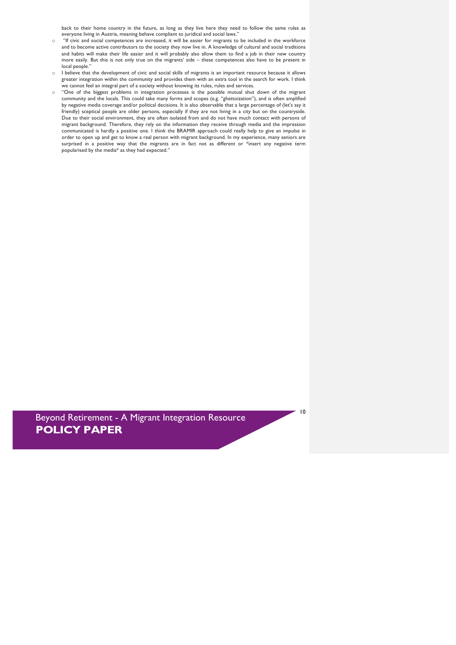back to their home country in the future, as long as they live here they need to follow the same rules as everyone living in Austria, meaning behave compliant to juridical and social laws."

- "If civic and social competences are increased, it will be easier for migrants to be included in the workforce and to become active contributors to the society they now live in. A knowledge of cultural and social traditions and habits will make their life easier and it will probably also allow them to find a job in their new country more easily. But this is not only true on the migrants' side – these competences also have to be present in local people."
- o I believe that the development of civic and social skills of migrants is an important resource because it allows greater integration within the community and provides them with an extra tool in the search for work. I think we cannot feel an integral part of a society without knowing its rules, rules and services.
- o "One of the biggest problems in integration processes is the possible mutual shut down of the migrant community and the locals. This could take many forms and scopes (e.g. "ghettoization"), and is often amplified by negative media coverage and/or political decisions. It is also observable that a large percentage of (let's say it friendly) sceptical people are older persons, especially if they are not living in a city but on the countryside. Due to their social environment, they are often isolated from and do not have much contact with persons of migrant background. Therefore, they rely on the information they receive through media and the impression communicated is hardly a positive one. I think the BRAMIR approach could really help to give an impulse in order to open up and get to know a real person with migrant background. In my experience, many seniors are surprised in a positive way that the migrants are in fact not as different or \*insert any negative term popularised by the media\* as they had expected."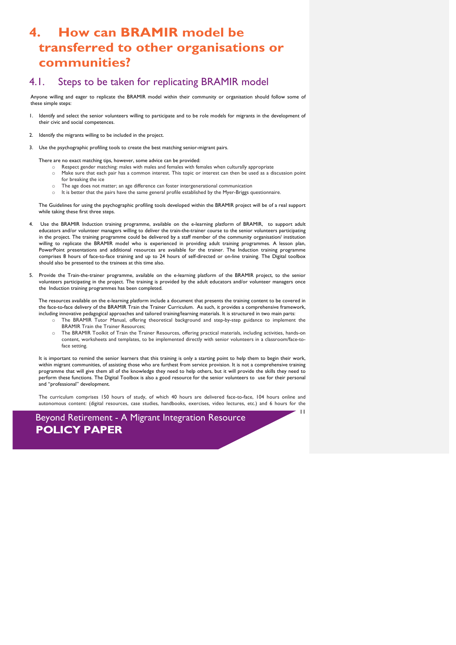### **4. How can BRAMIR model be transferred to other organisations or communities?**

#### 4.1. Steps to be taken for replicating BRAMIR model

Anyone willing and eager to replicate the BRAMIR model within their community or organisation should follow some of these simple steps:

- 1. Identify and select the senior volunteers willing to participate and to be role models for migrants in the development of their civic and social competences.
- 2. Identify the migrants willing to be included in the project.
- 3. Use the psychographic profiling tools to create the best matching senior-migrant pairs.

There are no exact matching tips, however, some advice can be provided:

- Respect gender matching: males with males and females with females when culturally appropriate
- o Make sure that each pair has a common interest. This topic or interest can then be used as a discussion point for breaking the ice
- o The age does not matter; an age difference can foster intergenerational communication
- $\circ$  It is better that the pairs have the same general profile established by the Myer-Briggs questionnaire.

The Guidelines for using the psychographic profiling tools developed within the BRAMIR project will be of a real support while taking these first three steps.

- 4. Use the BRAMIR Induction training programme, available on the e-learning platform of BRAMIR, to support adult educators and/or volunteer managers willing to deliver the train-the-trainer course to the senior volunteers participating in the project. The training programme could be delivered by a staff member of the community organisation/ institution willing to replicate the BRAMIR model who is experienced in providing adult training programmes. A lesson plan, PowerPoint presentations and additional resources are available for the trainer. The Induction training programme comprises 8 hours of face-to-face training and up to 24 hours of self-directed or on-line training. The Digital toolbox should also be presented to the trainees at this time also.
- 5. Provide the Train-the-trainer programme, available on the e-learning platform of the BRAMIR project, to the senior volunteers participating in the project. The training is provided by the adult educators and/or volunteer managers once the Induction training programmes has been completed.

The resources available on the e-learning platform include a document that presents the training content to be covered in the face-to-face delivery of the BRAMIR Train the Trainer Curriculum. As such, it provides a comprehensive framework, including innovative pedagogical approaches and tailored training/learning materials. It is structured in two main parts:

- o The BRAMIR Tutor Manual, offering theoretical background and step-by-step guidance to implement the BRAMIR Train the Trainer Resources;
- The BRAMIR Toolkit of Train the Trainer Resources, offering practical materials, including activities, hands-on content, worksheets and templates, to be implemented directly with senior volunteers in a classroom/face-toface setting.

It is important to remind the senior learners that this training is only a starting point to help them to begin their work, within migrant communities, of assisting those who are furthest from service provision. It is not a comprehensive training programme that will give them all of the knowledge they need to help others, but it will provide the skills they need to perform these functions. The Digital Toolbox is also a good resource for the senior volunteers to use for their personal and "professional" development.

The curriculum comprises 150 hours of study, of which 40 hours are delivered face-to-face, 104 hours online and autonomous content: (digital resources, case studies, handbooks, exercises, video lectures, etc.) and 6 hours for the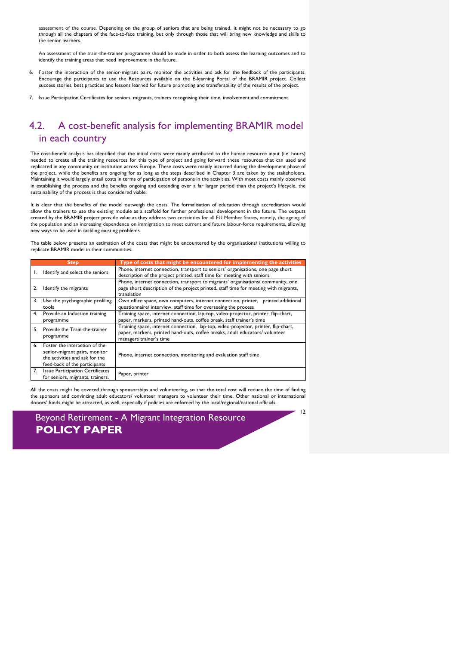assessment of the course. Depending on the group of seniors that are being trained, it might not be necessary to go through all the chapters of the face-to-face training, but only through those that will bring new knowledge and skills to the senior learners.

An assessment of the train-the-trainer programme should be made in order to both assess the learning outcomes and to identify the training areas that need improvement in the future.

- 6. Foster the interaction of the senior-migrant pairs, monitor the activities and ask for the feedback of the participants. Encourage the participants to use the Resources available on the E-learning Portal of the BRAMIR project. Collect success stories, best practices and lessons learned for future promoting and transferability of the results of the project.
- 7. Issue Participation Certificates for seniors, migrants, trainers recognising their time, involvement and commitment.

### 4.2. A cost-benefit analysis for implementing BRAMIR model in each country

The cost-benefit analysis has identified that the initial costs were mainly attributed to the human resource input (i.e. hours) needed to create all the training resources for this type of project and going forward these resources that can used and replicated in any community or institution across Europe. These costs were mainly incurred during the development phase of the project, while the benefits are ongoing for as long as the steps described in Chapter 3 are taken by the stakeholders. Maintaining it would largely entail costs in terms of participation of persons in the activities. With most costs mainly observed in establishing the process and the benefits ongoing and extending over a far larger period than the project's lifecycle, the sustainability of the process is thus considered viable.

It is clear that the benefits of the model outweigh the costs. The formalisation of education through accreditation would allow the trainers to use the existing module as a scaffold for further professional development in the future. The outputs created by the BRAMIR project provide value as they address two certainties for all EU Member States, namely, the ageing of the population and an increasing dependence on immigration to meet current and future labour-force requirements, allowing new ways to be used in tackling existing problems.

The table below presents an estimation of the costs that might be encountered by the organisations/ institutions willing to replicate BRAMIR model in their communities:

| <b>Step</b> |                                                                                                                                   | Type of costs that might be encountered for implementing the activities                                                                                                                        |
|-------------|-----------------------------------------------------------------------------------------------------------------------------------|------------------------------------------------------------------------------------------------------------------------------------------------------------------------------------------------|
| Ι.          | Identify and select the seniors                                                                                                   | Phone, internet connection, transport to seniors' organisations, one page short<br>description of the project printed, staff time for meeting with seniors                                     |
| 2.          | Identify the migrants                                                                                                             | Phone, internet connection, transport to migrants' organisations/ community, one<br>page short description of the project printed, staff time for meeting with migrants,<br>translation        |
| 3.          | Use the psychographic profiling<br>tools                                                                                          | Own office space, own computers, internet connection, printer, printed additional<br>questionnaire/ interview, staff time for overseeing the process                                           |
| 4.          | Provide an Induction training<br>programme                                                                                        | Training space, internet connection, lap-top, video-projector, printer, flip-chart,<br>paper, markers, printed hand-outs, coffee break, staff trainer's time                                   |
| 5.          | Provide the Train-the-trainer<br>programme                                                                                        | Training space, internet connection, lap-top, video-projector, printer, flip-chart,<br>paper, markers, printed hand-outs, coffee breaks, adult educators/ volunteer<br>managers trainer's time |
| 6.          | Foster the interaction of the<br>senior-migrant pairs, monitor<br>the activities and ask for the<br>feed-back of the participants | Phone, internet connection, monitoring and evaluation staff time                                                                                                                               |
| 7.          | <b>Issue Participation Certificates</b><br>for seniors, migrants, trainers.                                                       | Paper, printer                                                                                                                                                                                 |

All the costs might be covered through sponsorships and volunteering, so that the total cost will reduce the time of finding the sponsors and convincing adult educators/ volunteer managers to volunteer their time. Other national or international donors' funds might be attracted, as well, especially if policies are enforced by the local/regional/national officials.

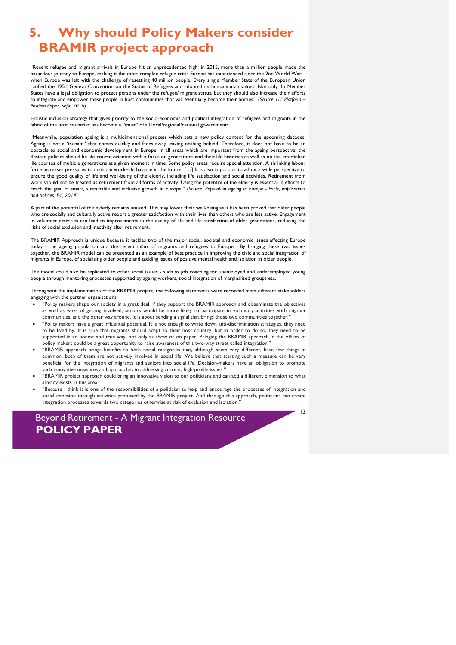## **5. Why should Policy Makers consider BRAMIR project approach**

"Recent refugee and migrant arrivals in Europe hit an unprecedented high: in 2015, more than a million people made the hazardous journey to Europe, making it the most complex refugee crisis Europe has experienced since the 2nd World War – when Europe was left with the challenge of resettling 40 million people. Every single Member State of the European Union ratified the 1951 Geneva Convention on the Status of Refugees and adopted its humanitarian values. Not only do Member States have a legal obligation to protect persons under the refugee/ migrant status, but they should also increase their efforts to integrate and empower these people in host communities that will eventually become their homes." (*Source: LLL Platform – Position Paper, Sept. 2016*)

Holistic inclusion strategy that gives priority to the socio-economic and political integration of refugees and migrants in the fabric of the host countries has become a "must" of all local/regional/national governments.

"Meanwhile, population ageing is a multidimensional process which sets a new policy context for the upcoming decades. Ageing is not a 'tsunami' that comes quickly and fades away leaving nothing behind. Therefore, it does not have to be an obstacle to social and economic development in Europe. In all areas which are important from the ageing perspective, the desired policies should be life-course oriented with a focus on generations and their life histories as well as on the interlinked life courses of multiple generations at a given moment in time. Some policy areas require special attention. A shrinking labour force increases pressures to maintain work–life balance in the future. […] It is also important to adopt a wide perspective to ensure the good quality of life and well-being of the elderly, including life satisfaction and social activities. Retirement from work should not be treated as retirement from all forms of activity. Using the potential of the elderly is essential in efforts to reach the goal of smart, sustainable and inclusive growth in Europe." (*Source: Population ageing in Europe - Facts, implications and policies, EC, 2014*)

A part of the potential of the elderly remains unused. This may lower their well-being as it has been proved that older people who are socially and culturally active report a greater satisfaction with their lives than others who are less active. Engagement in volunteer activities can lead to improvements in the quality of life and life satisfaction of older generations, reducing the risks of social exclusion and inactivity after retirement.

The BRAMIR Approach is unique because it tackles two of the major social, societal and economic issues affecting Europe today - the ageing population and the recent influx of migrants and refugees to Europe. By bringing these two issues together, the BRAMIR model can be presented as an example of best practice in improving the civic and social integration of migrants in Europe, of socialising older people and tackling issues of positive mental health and isolation in older people.

The model could also be replicated to other social issues - such as job coaching for unemployed and underemployed young people through mentoring processes supported by ageing workers, social integration of marginalised groups etc.

Throughout the implementation of the BRAMIR project, the following statements were recorded from different stakeholders engaging with the partner organisations:

- "Policy makers shape our society in a great deal. If they support the BRAMIR approach and disseminate the objectives as well as ways of getting involved, seniors would be more likely to participate in voluntary activities with migrant communities, and the other way around. It is about sending a signal that brings those two communities together."
- "Policy makers have a great influential potential. It is not enough to write down anti-discrimination strategies, they need to be lived by. It is true that migrants should adapt to their host country, but in order to do so, they need to be supported in an honest and true way, not only as show or on paper. Bringing the BRAMIR approach in the offices of policy makers could be a great opportunity to raise awareness of this two-way street called integration."
- "BRAMIR approach brings benefits to both social categories that, although seem very different, have few things in common, both of them are not actively involved in social life. We believe that starting such a measure can be very beneficial for the integration of migrants and seniors into social life. Decision-makers have an obligation to promote such innovative measures and approaches in addressing current, high-profile issues."
- "BRAMIR project approach could bring an innovative vision to our politicians and can add a different dimension to what already exists in this area."
- "Because I think it is one of the responsibilities of a politician to help and encourage the processes of integration and social cohesion through activities proposed by the BRAMIR project. And through this approach, politicians can create integration processes towards two categories otherwise at risk of exclusion and isolation."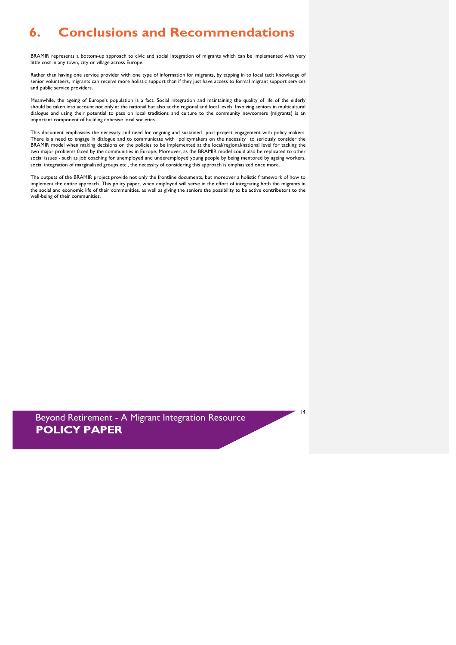# **6. Conclusions and Recommendations**

BRAMIR represents a bottom-up approach to civic and social integration of migrants which can be implemented with very little cost in any town, city or village across Europe.

Rather than having one service provider with one type of information for migrants, by tapping in to local tacit knowledge of senior volunteers, migrants can receive more holistic support than if they just have access to formal migrant support services and public service providers.

Meanwhile, the ageing of Europe's population is a fact. Social integration and maintaining the quality of life of the elderly should be taken into account not only at the national but also at the regional and local levels. Involving seniors in multicultural dialogue and using their potential to pass on local traditions and culture to the community newcomers (migrants) is an important component of building cohesive local societies.

This document emphasises the necessity and need for ongoing and sustained post-project engagement with policy makers. There is a need to engage in dialogue and to communicate with policymakers on the necessity to seriously consider the BRAMIR model when making decisions on the policies to be implemented at the local/regional/national level for tacking the two major problems faced by the communities in Europe. Moreover, as the BRAMIR model could also be replicated to other social issues - such as job coaching for unemployed and underemployed young people by being mentored by ageing workers, social integration of marginalised groups etc., the necessity of considering this approach is emphasized once more.

The outputs of the BRAMIR project provide not only the frontline documents, but moreover a holistic framework of how to implement the entire approach. This policy paper, when employed will serve in the effort of integrating both the migrants in the social and economic life of their communities, as well as giving the seniors the possibility to be active contributors to the well-being of their communities.